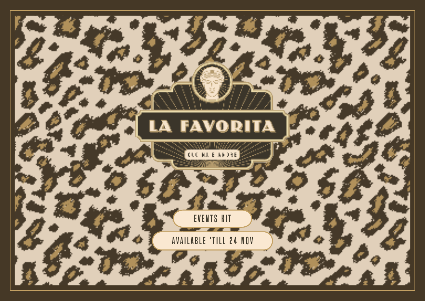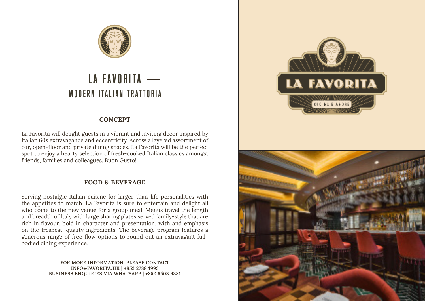

## MODERN ITALIAN TRATTORIA LA FAVORITA -

### **CONCEPT**

La Favorita will delight guests in a vibrant and inviting decor inspired by Italian 60s extravagance and eccentricity. Across a layered assortment of bar, open-floor and private dining spaces, La Favorita will be the perfect spot to enjoy a hearty selection of fresh-cooked Italian classics amongst friends, families and colleagues. Buon Gusto!

### **FOOD & BEVERAGE**

Serving nostalgic Italian cuisine for larger-than-life personalities with the appetites to match, La Favorita is sure to entertain and delight all who come to the new venue for a group meal. Menus travel the length and breadth of Italy with large sharing plates served family-style that are rich in flavour, bold in character and presentation, with and emphasis on the freshest, quality ingredients. The beverage program features a generous range of free flow options to round out an extravagant fullbodied dining experience.

> **FOR MORE INFORMATION, PLEASE CONTACT INFO@FAVORITA.HK | +852 2788 1993 BUSINESS ENQUIRIES VIA WHATSAPP | +852 6503 9381**



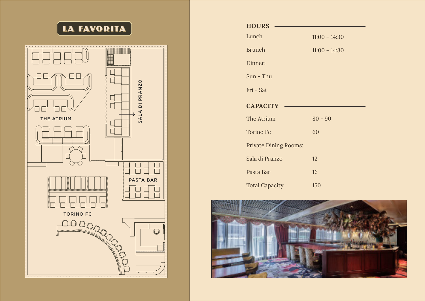## **LA FAVORITA**



| <b>HOURS</b>                 |                 |
|------------------------------|-----------------|
| Lunch                        | $11:00 - 14:30$ |
| <b>Brunch</b>                | $11:00 - 14:30$ |
| Dinner:                      |                 |
| $Sun$ - Thu                  |                 |
| Fri - Sat                    |                 |
| <b>CAPACITY</b>              |                 |
| The Atrium                   | $80 - 90$       |
| <b>Torino Fc</b>             | 60              |
| <b>Private Dining Rooms:</b> |                 |
| Sala di Pranzo               | 12              |
| Pasta Bar                    | 16              |
| <b>Total Capacity</b>        | 150             |

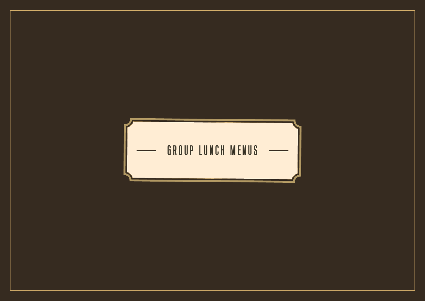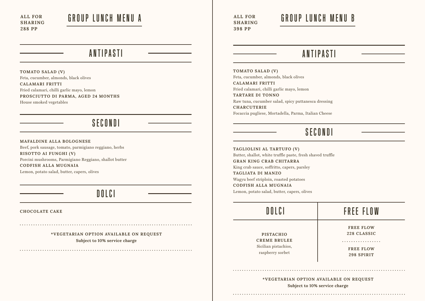**ALL FOR SHARING 288 PP**

## GROUP LUNCH MENU A GROUP LUNCH MENU B

**TOMATO SALAD (V)** Feta, cucumber, almonds, black olives **CALAMARI FRITTI** Fried calamari, chilli garlic mayo, lemon **PROSCIUTTO DI PARMA, AGED 24 MONTHS** House smoked vegetables

### SECONDI

**MAFALDINE ALLA BOLOGNESE** Beef, pork sausage, tomato, parmigiano reggiano, herbs **RISOTTO AI FUNGHI (V)** Porcini mushrooms, Parmigiano Reggiano, shallot butter **CODFISH ALLA MUGNAIA** Lemon, potato salad, butter, capers, olives

DOLCI

**CHOCOLATE CAKE**

**\*VEGETARIAN OPTION AVAILABLE ON REQUEST Subject to 10% service charge**

**ALL FOR SHARING 398 PP**

### ANTIPASTI ANTIPASTI

**TOMATO SALAD (V)** Feta, cucumber, almonds, black olives **CALAMARI FRITTI** Fried calamari, chilli garlic mayo, lemon **TARTARE DI TONNO** Raw tuna, cucumber salad, spicy puttanesca dressing **CHARCUTERIE** Focaccia pugliese, Mortadella, Parma, Italian Cheese

### SECONDI

**TAGLIOLINI AL TARTUFO (V)** Butter, shallot, white truffle paste, fresh shaved truffle **GRAN KING CRAB CHITARRA** King crab sauce, soffritto, capers, parsley **TAGLIATA DI MANZO** Wagyu beef striploin, roasted potatoes **CODFISH ALLA MUGNAIA** Lemon, potato salad, butter, capers, olives

#### DOLCI FREE FLOW **FREE FLOW 228 CLASSIC PISTACHIO CREME BRULEE** . . . . . . . . . . . . . . . . . Sicilian pistachios, **FREE FLOW** raspberry sorbet **298 SPIRIT**

**\*VEGETARIAN OPTION AVAILABLE ON REQUEST Subject to 10% service charge**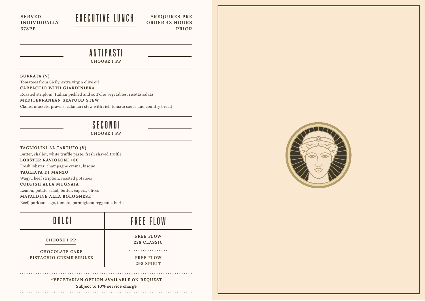**SERVED INDIVIDUALLY 378PP**

## EXECUTIVE LUNCH

**\*REQUIRES PRE ORDER 48 HOURS PRIOR**

### ANTIPASTI

**CHOOSE 1 PP**

#### **BURRATA (V)**

Tomatoes from Sicily, extra virgin olive oil **CARPACCIO WITH GIARDINIERA** Roasted striploin, Italian pickled and sott'olio vegetables, ricotta salata **MEDITERRANEAN SEAFOOD STEW**

Clams, mussels, prawns, calamari stew with rich tomato sauce and country bread

### SECONDI

**CHOOSE 1 PP**

**TAGLIOLINI AL TARTUFO (V)** Butter, shallot, white truffle paste, fresh shaved truffle **LOBSTER RAVIOLONI +80** Fresh lobster, champagne crema, bisque **TAGLIATA DI MANZO** Wagyu beef striploin, roasted potatoes **CODFISH ALLA MUGNAIA** Lemon, potato salad, butter, capers, olives

**MAFALDINE ALLA BOLOGNESE**

Beef, pork sausage, tomato, parmigiano reggiano, herbs



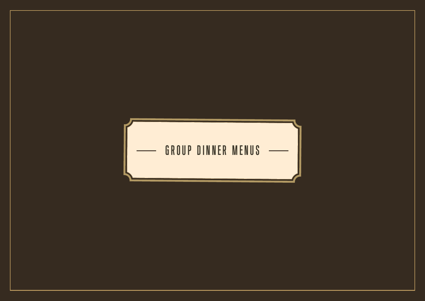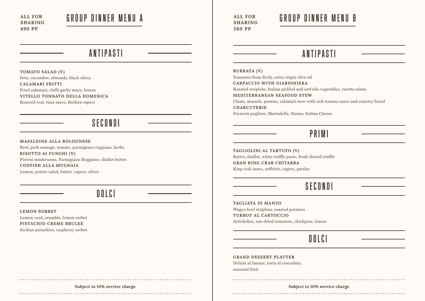**ALL FOR SHARING 490 PP**

## GROUP DINNER MENU A GROUP DINNER MENU B

**TOMATO SALAD (V)** Feta, cucumber, almonds, black olives **CALAMARI FRITTI** Fried calamari, chilli garlic mayo, lemon **VITELLO TONNATO DELLA DOMENICA** Roasted veal, tuna mayo, Sicilian capers

### SECONDI

#### **MAFALDINE ALLA BOLOGNESE**

Beef, pork sausage, tomato, parmigiano reggiano, herbs **RISOTTO AI FUNGHI (V)** Porcini mushrooms, Parmigiano Reggiano, shallot butter **CODFISH ALLA MUGNAIA** Lemon, potato salad, butter, capers, olives

### DOLCI

### **LEMON SORBET** Lemon curd, crumble, lemon sorbet **PISTACHIO CREME BRULEE**

Sicilian pistachios, raspberry sorbet

**ALL FOR SHARING 580 PP**

### ANTIPASTI ANTIPASTI

#### **BURRATA (V)**

Tomatoes from Sicily, extra virgin olive oil **CARPACCIO WITH GIARDINIERA** Roasted striploin, Italian pickled and sott'olio vegetables, ricotta salata **MEDITERRANEAN SEAFOOD STEW** Clams, mussels, prawns, calamari stew with rich tomato sauce and country bread **CHARCUTERIE** Focaccia pugliese, Mortadella, Parma, Italian Cheese

### PRIMI

**TAGLIOLINI AL TARTUFO (V)** Butter, shallot, white truffle paste, fresh shaved truffle **GRAN KING CRAB CHITARRA** King crab sauce, soffritto, capers, parsley

### SECONDI

### **TAGLIATA DI MANZO**

Wagyu beef striploin, roasted potatoes **TURBOT AL CARTOCCIO** Artichokes, sun-dried tomatoes, chickpeas, lemon

DOLCI

**GRAND DESSERT PLATTER** Delizia al limone, torta al cioccolato, seasonal fruit

#### 

### **Subject to 10% service charge Subject to 10% service charge**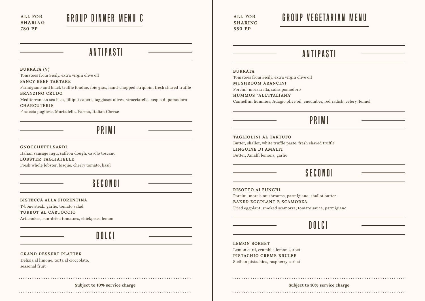**ALL FOR SHARING 780 PP**

## GROUP DINNER MENU C

ANTIPASTI

**BURRATA (V)**

Tomatoes from Sicily, extra virgin olive oil

**FANCY BEEF TARTARE**

Parmigiano and black truffle fondue, foie gras, hand-chopped striploin, fresh shaved truffle **BRANZINO CRUDO**

Mediterranean sea bass, lilliput capers, taggiasca olives, stracciatella, acqua di pomodoro **CHARCUTERIE**

Focaccia pugliese, Mortadella, Parma, Italian Cheese

### PRIMI

**GNOCCHETTI SARDI** Italian sausage ragu, saffron dough, cavolo toscano **LOBSTER TAGLIATELLE**

Fresh whole lobster, bisque, cherry tomato, basil

### SECONDI

**BISTECCA ALLA FIORENTINA**

T-bone steak, garlic, tomato salad **TURBOT AL CARTOCCIO** Artichokes, sun-dried tomatoes, chickpeas, lemon

DOLCI

### **GRAND DESSERT PLATTER**

Delizia al limone, torta al cioccolato, seasonal fruit

### 

**ALL FOR SHARING 550 PP**

## GROUP VEGETARIAN MENU

### ANTIPASTI

#### **BURRATA**

Tomatoes from Sicily, extra virgin olive oil **MUSHROOM ARANCINI** Porcini, mozzarella, salsa pomodoro **HUMMUS "ALL'ITALIANA''** Cannellini hummus, Adagio olive oil, cucumber, red radish, celery, fennel

### PRIMI

**TAGLIOLINI AL TARTUFO** Butter, shallot, white truffle paste, fresh shaved truffle **LINGUINE DI AMALFI** Butter, Amalfi lemons, garlic

### SECONDI

**RISOTTO AI FUNGHI**

Porcini, morels mushrooms, parmigiano, shallot butter **BAKED EGGPLANT E SCAMORZA**

Fried eggplant, smoked scamorza, tomato sauce, parmigiano

### DOLCI

**LEMON SORBET** Lemon curd, crumble, lemon sorbet

**PISTACHIO CREME BRULEE** Sicilian pistachios, raspberry sorbet

**Subject to 10% service charge Subject to 10% service charge**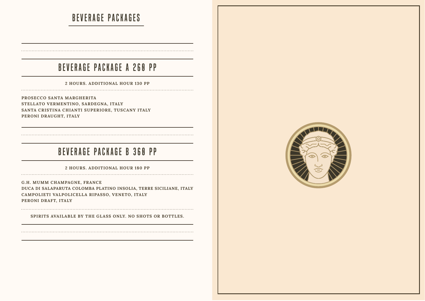## BEVERAGE PACKAGES

### BEVERAGE PACKAGE A 260 PP

**2 HOURS. ADDITIONAL HOUR 130 PP**

**PROSECCO SANTA MARGHERITA STELLATO VERMENTINO, SARDEGNA, ITALY SANTA CRISTINA CHIANTI SUPERIORE, TUSCANY ITALY PERONI DRAUGHT, ITALY**

### BEVERAGE PACKAGE B 360 PP

**2 HOURS. ADDITIONAL HOUR 180 PP** 

**G.H. MUMM CHAMPAGNE, FRANCE DUCA DI SALAPARUTA COLOMBA PLATINO INSOLIA, TERRE SICILIANE, ITALY CAMPOLIETI VALPOLICELLA RIPASSO, VENETO, ITALY PERONI DRAFT, ITALY**

**SPIRITS AVAILABLE BY THE GLASS ONLY. NO SHOTS OR BOTTLES.**